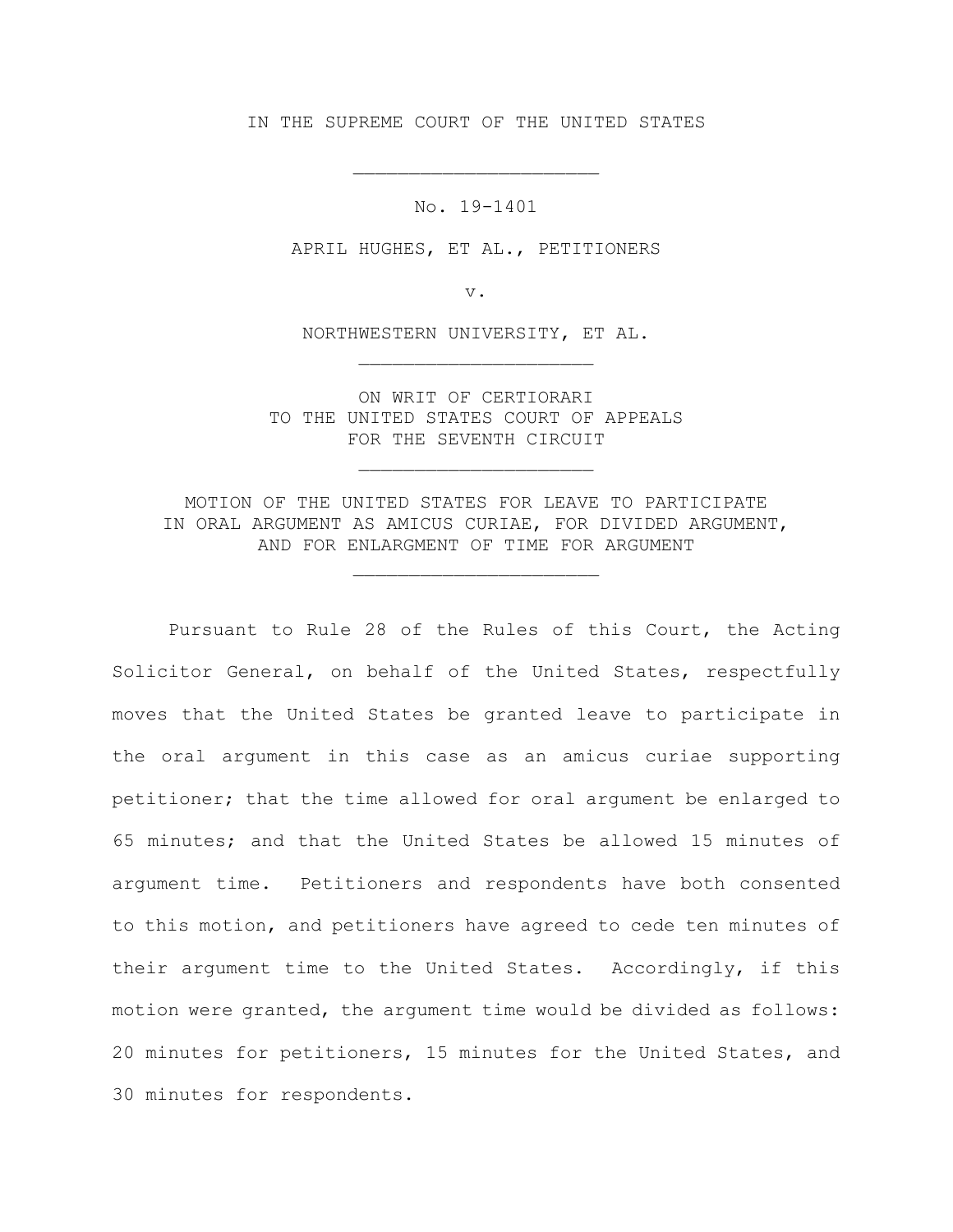IN THE SUPREME COURT OF THE UNITED STATES

\_\_\_\_\_\_\_\_\_\_\_\_\_\_\_\_\_\_\_\_\_\_

No. 19-1401

APRIL HUGHES, ET AL., PETITIONERS

v.

NORTHWESTERN UNIVERSITY, ET AL.

\_\_\_\_\_\_\_\_\_\_\_\_\_\_\_\_\_\_\_\_\_

ON WRIT OF CERTIORARI TO THE UNITED STATES COURT OF APPEALS FOR THE SEVENTH CIRCUIT

\_\_\_\_\_\_\_\_\_\_\_\_\_\_\_\_\_\_\_\_\_

MOTION OF THE UNITED STATES FOR LEAVE TO PARTICIPATE IN ORAL ARGUMENT AS AMICUS CURIAE, FOR DIVIDED ARGUMENT, AND FOR ENLARGMENT OF TIME FOR ARGUMENT

\_\_\_\_\_\_\_\_\_\_\_\_\_\_\_\_\_\_\_\_\_\_

Pursuant to Rule 28 of the Rules of this Court, the Acting Solicitor General, on behalf of the United States, respectfully moves that the United States be granted leave to participate in the oral argument in this case as an amicus curiae supporting petitioner; that the time allowed for oral argument be enlarged to 65 minutes; and that the United States be allowed 15 minutes of argument time. Petitioners and respondents have both consented to this motion, and petitioners have agreed to cede ten minutes of their argument time to the United States. Accordingly, if this motion were granted, the argument time would be divided as follows: 20 minutes for petitioners, 15 minutes for the United States, and 30 minutes for respondents.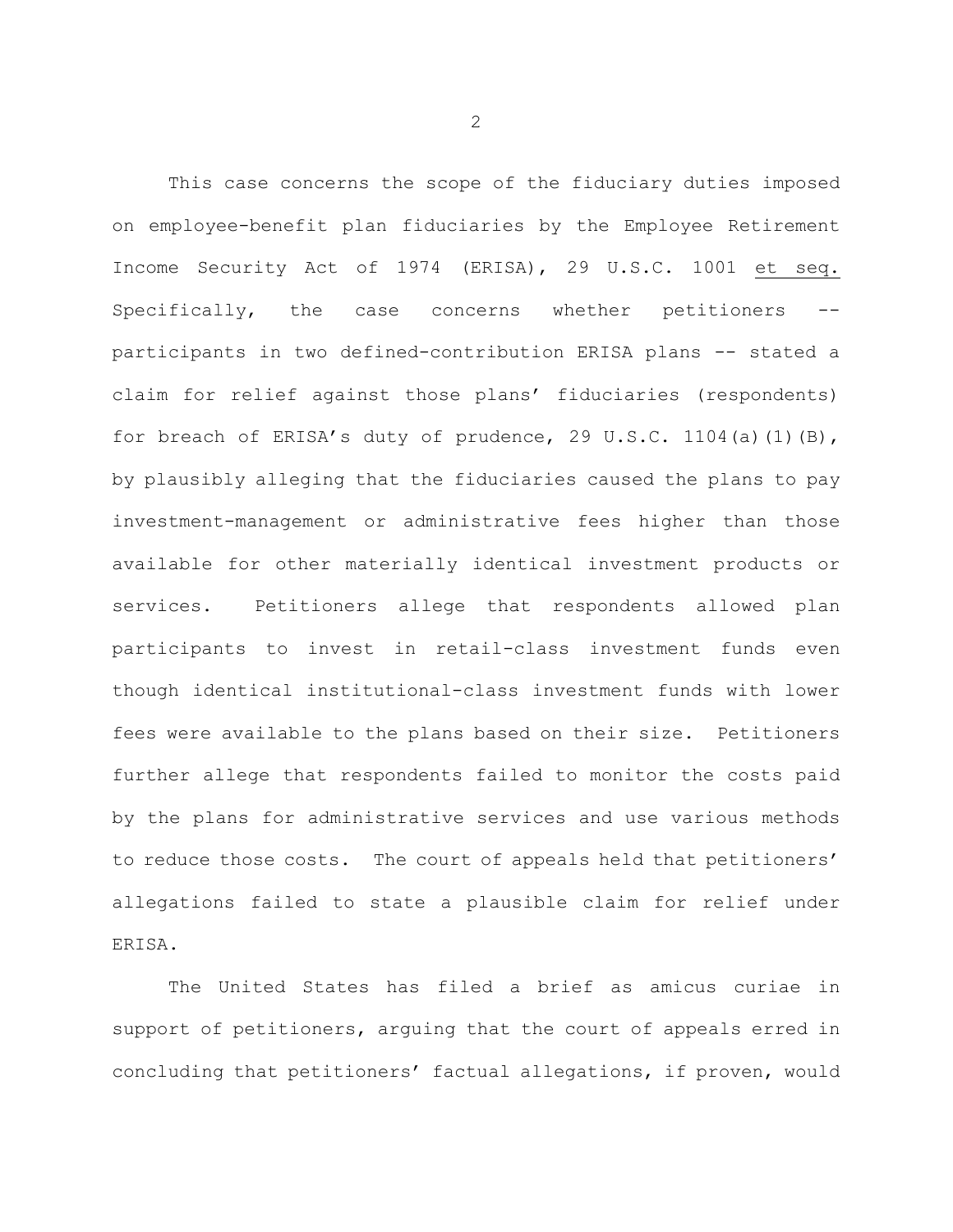This case concerns the scope of the fiduciary duties imposed on employee-benefit plan fiduciaries by the Employee Retirement Income Security Act of 1974 (ERISA), 29 U.S.C. 1001 et seq. Specifically, the case concerns whether petitioners - participants in two defined-contribution ERISA plans -- stated a claim for relief against those plans' fiduciaries (respondents) for breach of ERISA's duty of prudence, 29 U.S.C. 1104(a)(1)(B), by plausibly alleging that the fiduciaries caused the plans to pay investment-management or administrative fees higher than those available for other materially identical investment products or services. Petitioners allege that respondents allowed plan participants to invest in retail-class investment funds even though identical institutional-class investment funds with lower fees were available to the plans based on their size. Petitioners further allege that respondents failed to monitor the costs paid by the plans for administrative services and use various methods to reduce those costs. The court of appeals held that petitioners' allegations failed to state a plausible claim for relief under ERISA.

The United States has filed a brief as amicus curiae in support of petitioners, arguing that the court of appeals erred in concluding that petitioners' factual allegations, if proven, would

2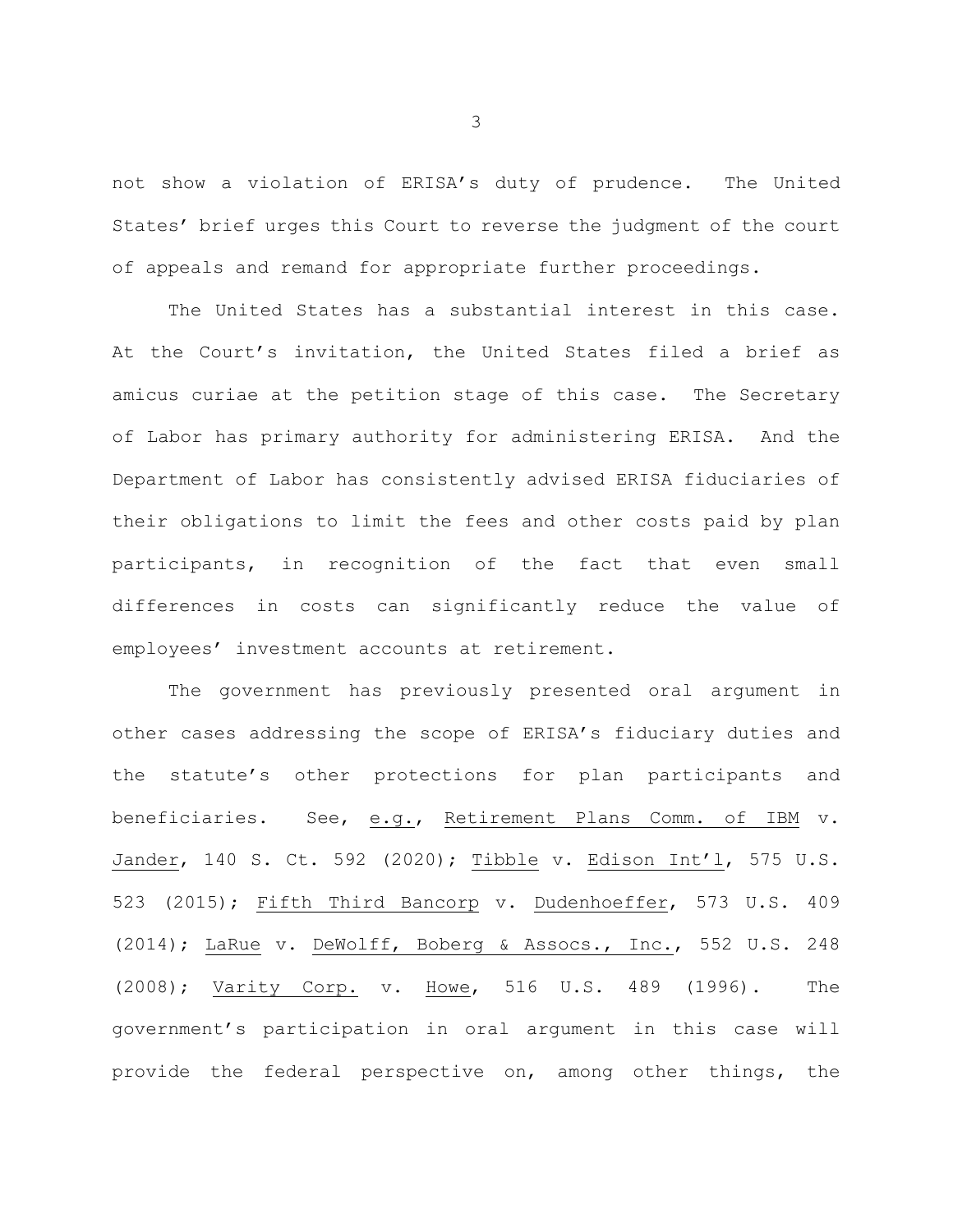not show a violation of ERISA's duty of prudence. The United States' brief urges this Court to reverse the judgment of the court of appeals and remand for appropriate further proceedings.

The United States has a substantial interest in this case. At the Court's invitation, the United States filed a brief as amicus curiae at the petition stage of this case. The Secretary of Labor has primary authority for administering ERISA. And the Department of Labor has consistently advised ERISA fiduciaries of their obligations to limit the fees and other costs paid by plan participants, in recognition of the fact that even small differences in costs can significantly reduce the value of employees' investment accounts at retirement.

The government has previously presented oral argument in other cases addressing the scope of ERISA's fiduciary duties and the statute's other protections for plan participants and beneficiaries. See, e.g., Retirement Plans Comm. of IBM v. Jander, 140 S. Ct. 592 (2020); Tibble v. Edison Int'l, 575 U.S. 523 (2015); Fifth Third Bancorp v. Dudenhoeffer, 573 U.S. 409 (2014); LaRue v. DeWolff, Boberg & Assocs., Inc., 552 U.S. 248 (2008); Varity Corp. v. Howe, 516 U.S. 489 (1996). The government's participation in oral argument in this case will provide the federal perspective on, among other things, the

3